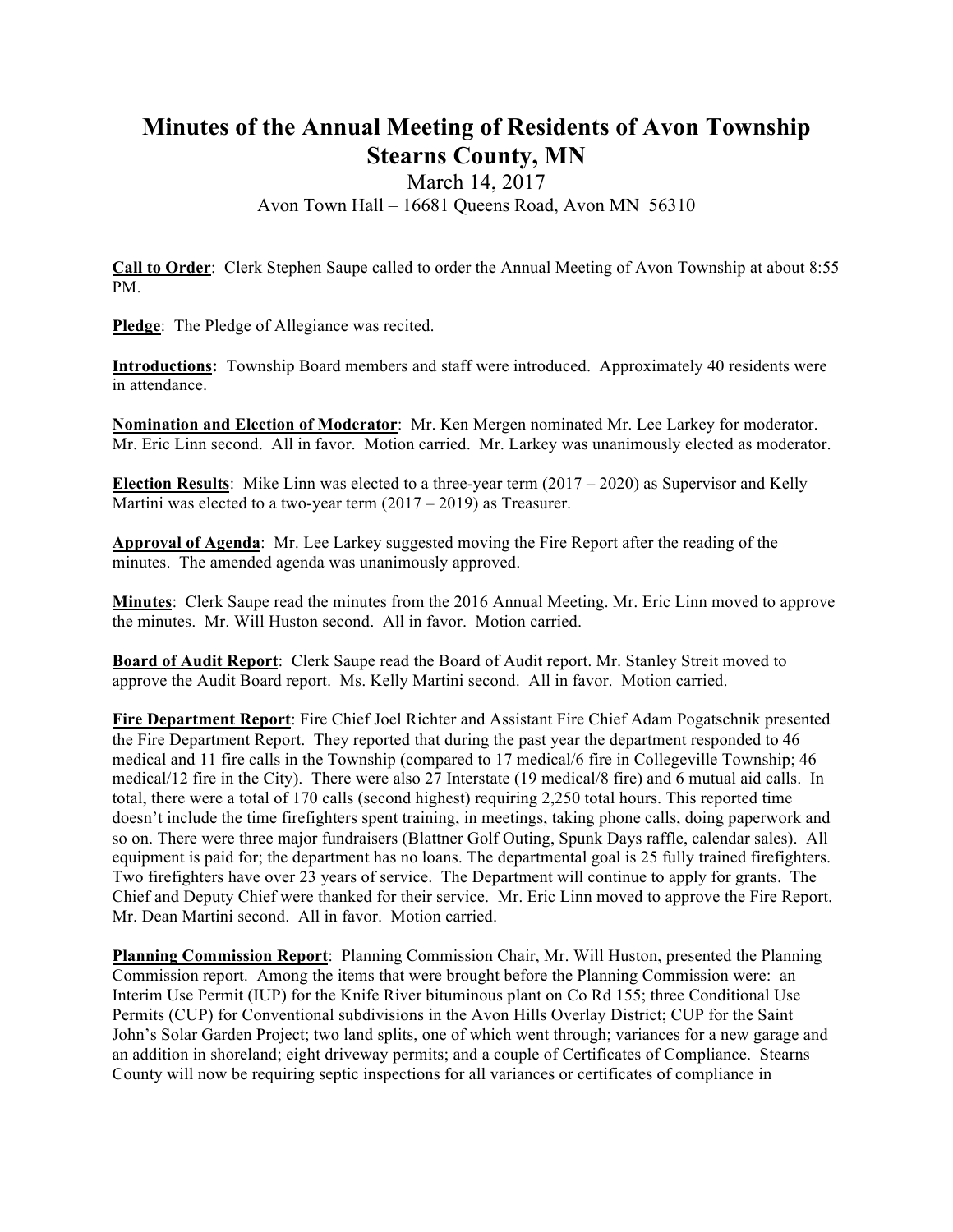# **Minutes of the Annual Meeting of Residents of Avon Township Stearns County, MN**

### March 14, 2017 Avon Town Hall – 16681 Queens Road, Avon MN 56310

**Call to Order**: Clerk Stephen Saupe called to order the Annual Meeting of Avon Township at about 8:55 PM.

**Pledge**: The Pledge of Allegiance was recited.

**Introductions:** Township Board members and staff were introduced. Approximately 40 residents were in attendance.

**Nomination and Election of Moderator**: Mr. Ken Mergen nominated Mr. Lee Larkey for moderator. Mr. Eric Linn second. All in favor. Motion carried. Mr. Larkey was unanimously elected as moderator.

**Election Results**: Mike Linn was elected to a three-year term  $(2017 – 2020)$  as Supervisor and Kelly Martini was elected to a two-year term (2017 – 2019) as Treasurer.

**Approval of Agenda**: Mr. Lee Larkey suggested moving the Fire Report after the reading of the minutes. The amended agenda was unanimously approved.

**Minutes**: Clerk Saupe read the minutes from the 2016 Annual Meeting. Mr. Eric Linn moved to approve the minutes. Mr. Will Huston second. All in favor. Motion carried.

**Board of Audit Report**: Clerk Saupe read the Board of Audit report. Mr. Stanley Streit moved to approve the Audit Board report. Ms. Kelly Martini second. All in favor. Motion carried.

**Fire Department Report**: Fire Chief Joel Richter and Assistant Fire Chief Adam Pogatschnik presented the Fire Department Report. They reported that during the past year the department responded to 46 medical and 11 fire calls in the Township (compared to 17 medical/6 fire in Collegeville Township; 46 medical/12 fire in the City). There were also 27 Interstate (19 medical/8 fire) and 6 mutual aid calls. In total, there were a total of 170 calls (second highest) requiring 2,250 total hours. This reported time doesn't include the time firefighters spent training, in meetings, taking phone calls, doing paperwork and so on. There were three major fundraisers (Blattner Golf Outing, Spunk Days raffle, calendar sales). All equipment is paid for; the department has no loans. The departmental goal is 25 fully trained firefighters. Two firefighters have over 23 years of service. The Department will continue to apply for grants. The Chief and Deputy Chief were thanked for their service. Mr. Eric Linn moved to approve the Fire Report. Mr. Dean Martini second. All in favor. Motion carried.

**Planning Commission Report**: Planning Commission Chair, Mr. Will Huston, presented the Planning Commission report. Among the items that were brought before the Planning Commission were: an Interim Use Permit (IUP) for the Knife River bituminous plant on Co Rd 155; three Conditional Use Permits (CUP) for Conventional subdivisions in the Avon Hills Overlay District; CUP for the Saint John's Solar Garden Project; two land splits, one of which went through; variances for a new garage and an addition in shoreland; eight driveway permits; and a couple of Certificates of Compliance. Stearns County will now be requiring septic inspections for all variances or certificates of compliance in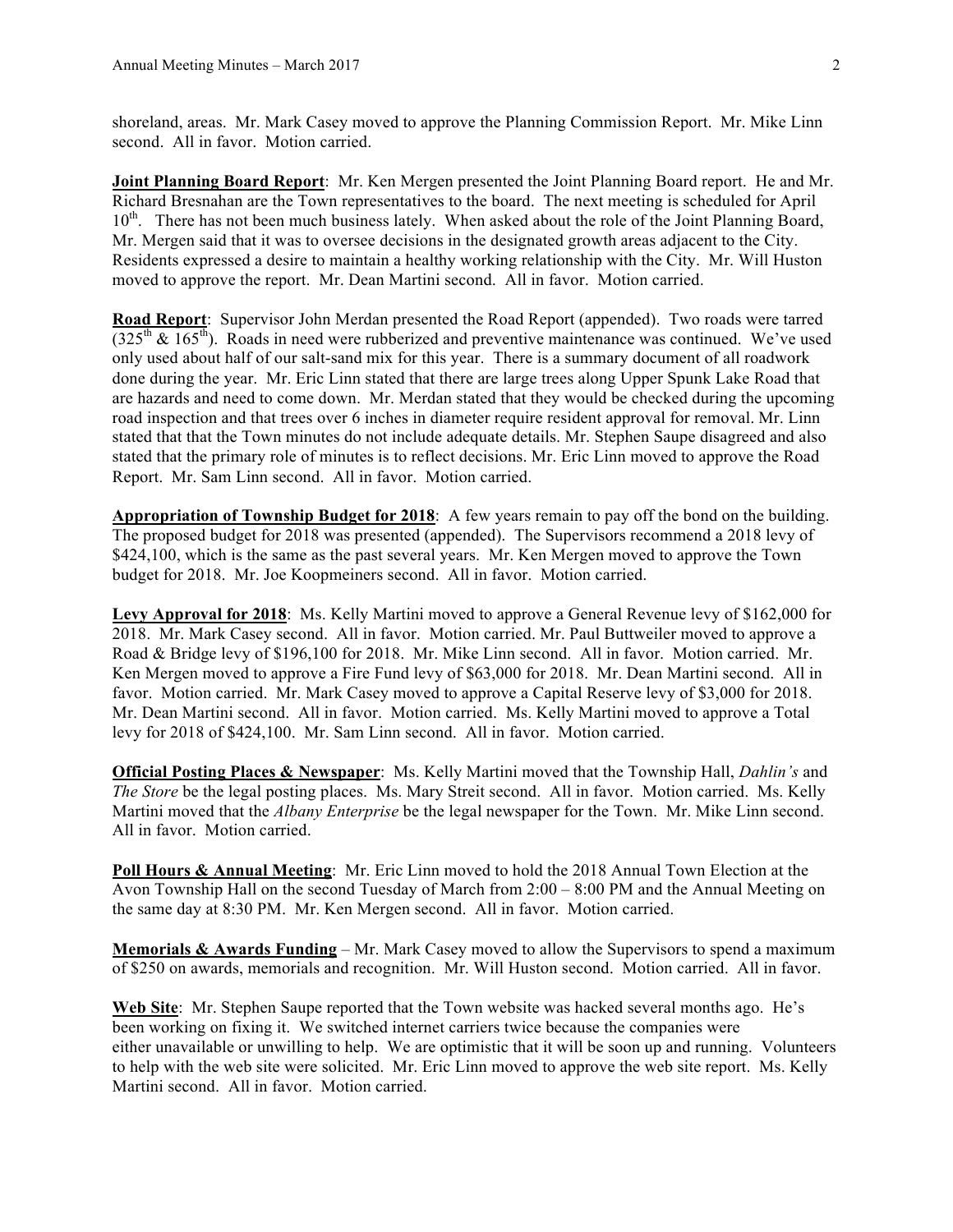shoreland, areas. Mr. Mark Casey moved to approve the Planning Commission Report. Mr. Mike Linn second. All in favor. Motion carried.

**Joint Planning Board Report**: Mr. Ken Mergen presented the Joint Planning Board report. He and Mr. Richard Bresnahan are the Town representatives to the board. The next meeting is scheduled for April  $10<sup>th</sup>$ . There has not been much business lately. When asked about the role of the Joint Planning Board, Mr. Mergen said that it was to oversee decisions in the designated growth areas adjacent to the City. Residents expressed a desire to maintain a healthy working relationship with the City. Mr. Will Huston moved to approve the report. Mr. Dean Martini second. All in favor. Motion carried.

**Road Report**: Supervisor John Merdan presented the Road Report (appended). Two roads were tarred  $(325<sup>th</sup> \& 165<sup>th</sup>)$ . Roads in need were rubberized and preventive maintenance was continued. We've used only used about half of our salt-sand mix for this year. There is a summary document of all roadwork done during the year. Mr. Eric Linn stated that there are large trees along Upper Spunk Lake Road that are hazards and need to come down. Mr. Merdan stated that they would be checked during the upcoming road inspection and that trees over 6 inches in diameter require resident approval for removal. Mr. Linn stated that that the Town minutes do not include adequate details. Mr. Stephen Saupe disagreed and also stated that the primary role of minutes is to reflect decisions. Mr. Eric Linn moved to approve the Road Report. Mr. Sam Linn second. All in favor. Motion carried.

**Appropriation of Township Budget for 2018**: A few years remain to pay off the bond on the building. The proposed budget for 2018 was presented (appended). The Supervisors recommend a 2018 levy of \$424,100, which is the same as the past several years. Mr. Ken Mergen moved to approve the Town budget for 2018. Mr. Joe Koopmeiners second. All in favor. Motion carried.

**Levy Approval for 2018**: Ms. Kelly Martini moved to approve a General Revenue levy of \$162,000 for 2018. Mr. Mark Casey second. All in favor. Motion carried. Mr. Paul Buttweiler moved to approve a Road & Bridge levy of \$196,100 for 2018. Mr. Mike Linn second. All in favor. Motion carried. Mr. Ken Mergen moved to approve a Fire Fund levy of \$63,000 for 2018. Mr. Dean Martini second. All in favor. Motion carried. Mr. Mark Casey moved to approve a Capital Reserve levy of \$3,000 for 2018. Mr. Dean Martini second. All in favor. Motion carried. Ms. Kelly Martini moved to approve a Total levy for 2018 of \$424,100. Mr. Sam Linn second. All in favor. Motion carried.

**Official Posting Places & Newspaper**: Ms. Kelly Martini moved that the Township Hall, *Dahlin's* and *The Store* be the legal posting places. Ms. Mary Streit second. All in favor. Motion carried. Ms. Kelly Martini moved that the *Albany Enterprise* be the legal newspaper for the Town. Mr. Mike Linn second. All in favor. Motion carried.

**Poll Hours & Annual Meeting**: Mr. Eric Linn moved to hold the 2018 Annual Town Election at the Avon Township Hall on the second Tuesday of March from 2:00 – 8:00 PM and the Annual Meeting on the same day at 8:30 PM. Mr. Ken Mergen second. All in favor. Motion carried.

**Memorials & Awards Funding** – Mr. Mark Casey moved to allow the Supervisors to spend a maximum of \$250 on awards, memorials and recognition. Mr. Will Huston second. Motion carried. All in favor.

**Web Site**: Mr. Stephen Saupe reported that the Town website was hacked several months ago. He's been working on fixing it. We switched internet carriers twice because the companies were either unavailable or unwilling to help. We are optimistic that it will be soon up and running. Volunteers to help with the web site were solicited. Mr. Eric Linn moved to approve the web site report. Ms. Kelly Martini second. All in favor. Motion carried.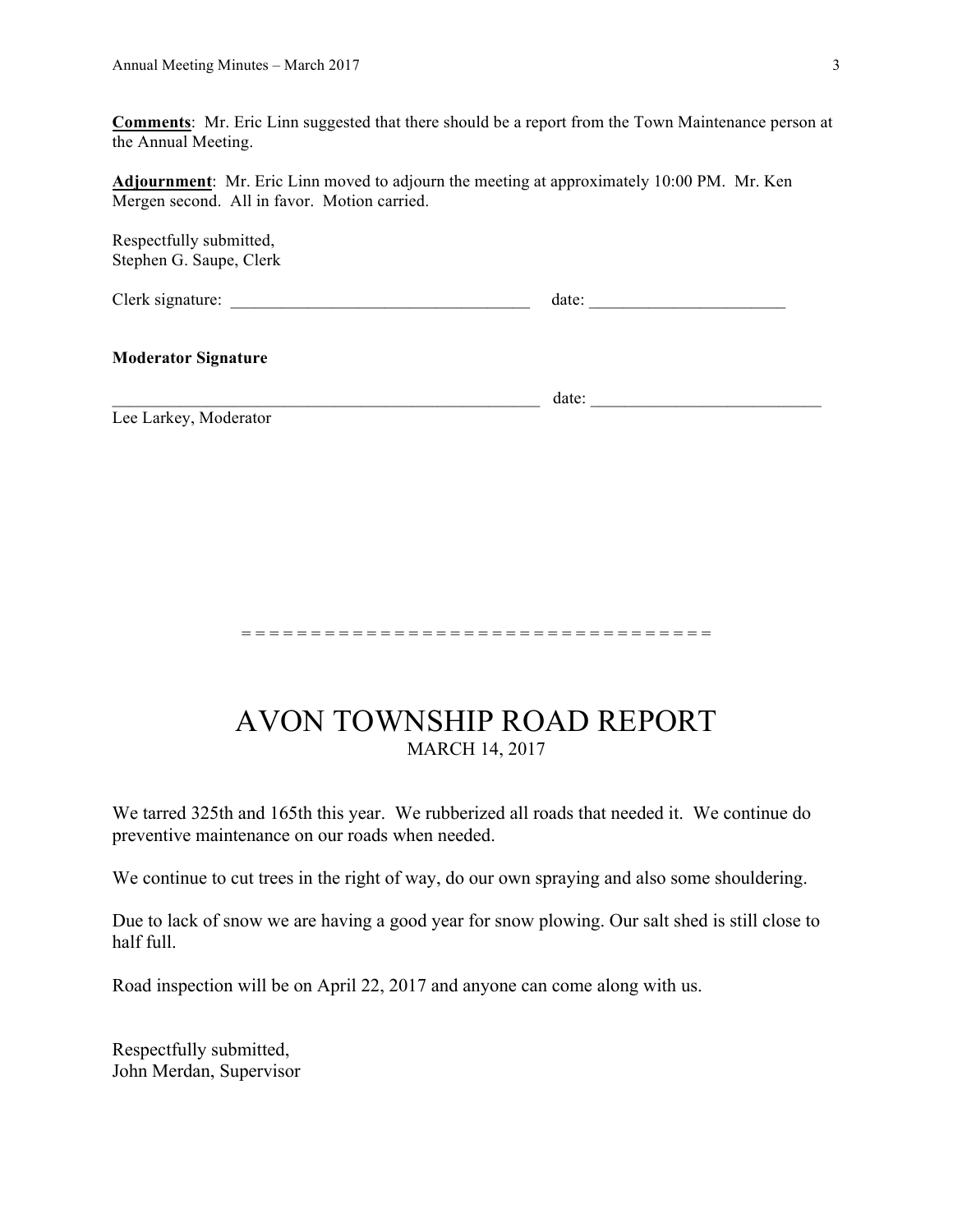**Comments**: Mr. Eric Linn suggested that there should be a report from the Town Maintenance person at the Annual Meeting.

**Adjournment**: Mr. Eric Linn moved to adjourn the meeting at approximately 10:00 PM. Mr. Ken Mergen second. All in favor. Motion carried.

Respectfully submitted, Stephen G. Saupe, Clerk

Clerk signature: \_\_\_\_\_\_\_\_\_\_\_\_\_\_\_\_\_\_\_\_\_\_\_\_\_\_\_\_\_\_\_\_\_\_\_ date: \_\_\_\_\_\_\_\_\_\_\_\_\_\_\_\_\_\_\_\_\_\_\_

### **Moderator Signature**

\_\_\_\_\_\_\_\_\_\_\_\_\_\_\_\_\_\_\_\_\_\_\_\_\_\_\_\_\_\_\_\_\_\_\_\_\_\_\_\_\_\_\_\_\_\_\_\_\_\_ date: \_\_\_\_\_\_\_\_\_\_\_\_\_\_\_\_\_\_\_\_\_\_\_\_\_\_\_

Lee Larkey, Moderator

#### = = = = = = = = = = = = = = = = = = = = = = = = = = = = = = = = = =

## AVON TOWNSHIP ROAD REPORT MARCH 14, 2017

We tarred 325th and 165th this year. We rubberized all roads that needed it. We continue do preventive maintenance on our roads when needed.

We continue to cut trees in the right of way, do our own spraying and also some shouldering.

Due to lack of snow we are having a good year for snow plowing. Our salt shed is still close to half full.

Road inspection will be on April 22, 2017 and anyone can come along with us.

Respectfully submitted, John Merdan, Supervisor